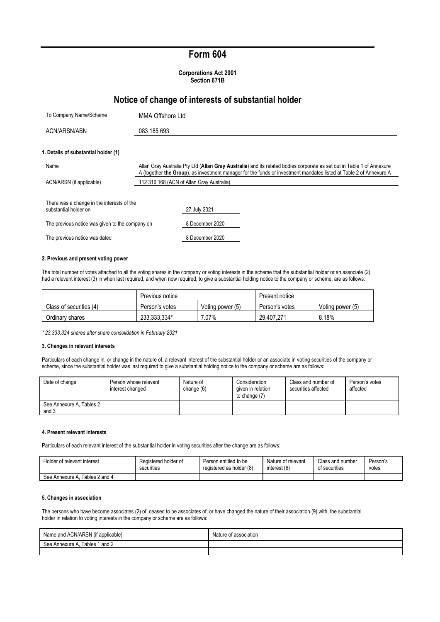## **Form 604**

**Corporations Act 2001 Section 671B**

## **Notice of change of interests of substantial holder**

| To Company Name/Scheme                                              | MMA Offshore Ltd                                                                                                                                                                                                                             |
|---------------------------------------------------------------------|----------------------------------------------------------------------------------------------------------------------------------------------------------------------------------------------------------------------------------------------|
| ACN/ARSN/ABN                                                        | 083 185 693                                                                                                                                                                                                                                  |
| 1. Details of substantial holder (1)                                |                                                                                                                                                                                                                                              |
| Name                                                                | Allan Gray Australia Pty Ltd (Allan Gray Australia) and its related bodies corporate as set out in Table 1 of Annexure<br>A (together the Group), as investment manager for the funds or investment mandates listed at Table 2 of Annexure A |
| ACN/ARSN (if applicable)                                            | 112 316 168 (ACN of Allan Gray Australia)                                                                                                                                                                                                    |
| There was a change in the interests of the<br>substantial holder on | 27 July 2021                                                                                                                                                                                                                                 |
| The previous notice was given to the company on                     | 8 December 2020                                                                                                                                                                                                                              |
| The previous notice was dated                                       | 8 December 2020                                                                                                                                                                                                                              |

#### **2. Previous and present voting power**

The total number of votes attached to all the voting shares in the company or voting interests in the scheme that the substantial holder or an associate (2) had a relevant interest (3) in when last required, and when now required, to give a substantial holding notice to the company or scheme, are as follows:

|                         | Previous notice                    |       | Present notice |                  |
|-------------------------|------------------------------------|-------|----------------|------------------|
| Class of securities (4) | Voting power (5)<br>Person's votes |       | Person's votes | Voting power (5) |
| Ordinary shares         | 233,333,334*                       | 7.07% | 29.407.271     | 8.18%            |

*\* 23,333,324 shares after share consolidation in February 2021*

#### **3. Changes in relevant interests**

Particulars of each change in, or change in the nature of, a relevant interest of the substantial holder or an associate in voting securities of the company or scheme, since the substantial holder was last required to give a substantial holding notice to the company or scheme are as follows:

| Date of change                    | Person whose relevant<br>interest changed | Nature of<br>change (6) | Consideration<br>given in relation<br>to change (7) | Class and number of<br>securities affected | Person's votes<br>affected |
|-----------------------------------|-------------------------------------------|-------------------------|-----------------------------------------------------|--------------------------------------------|----------------------------|
| See Annexure A, Tables 2<br>and 3 |                                           |                         |                                                     |                                            |                            |

### **4. Present relevant interests**

Particulars of each relevant interest of the substantial holder in voting securities after the change are as follows:

| Holder of relevant interest    | Registered holder of | Person entitled to be    | Nature of relevant | Class and number | Person's |
|--------------------------------|----------------------|--------------------------|--------------------|------------------|----------|
|                                | securities           | registered as holder (8) | interest (6)       | of securities    | votes    |
| See Annexure A. Tables 2 and 4 |                      |                          |                    |                  |          |

#### **5. Changes in association**

The persons who have become associates (2) of, ceased to be associates of, or have changed the nature of their association (9) with, the substantial holder in relation to voting interests in the company or scheme are as follows:

| Name and ACN/ARSN (if applicable) | Nature of association |
|-----------------------------------|-----------------------|
| Tables 1 and 2<br>See Annexure A, |                       |
|                                   |                       |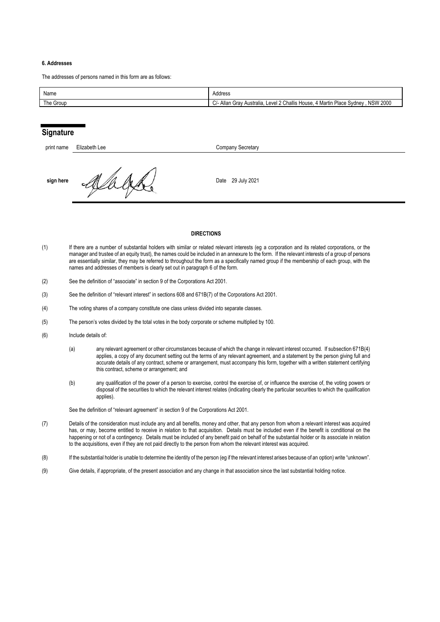#### **6. Addresses**

The addresses of persons named in this form are as follows:

| Name                  | Address                                                                                                                            |
|-----------------------|------------------------------------------------------------------------------------------------------------------------------------|
| <sup>Th</sup> e Group | <b>NSW 2000</b><br>$\sim$<br>Challis<br>Allan<br>4 Martin Place<br>∟evel <sup>^</sup><br>Australia<br>House<br>Grav<br>Sydney<br>ັ |

## **Signature**

| print name | Elizabeth Lee | Company Secretary |
|------------|---------------|-------------------|
| sign here  | ₩             | Date 29 July 2021 |

#### **DIRECTIONS**

- (1) If there are a number of substantial holders with similar or related relevant interests (eg a corporation and its related corporations, or the manager and trustee of an equity trust), the names could be included in an annexure to the form. If the relevant interests of a group of persons are essentially similar, they may be referred to throughout the form as a specifically named group if the membership of each group, with the names and addresses of members is clearly set out in paragraph 6 of the form.
- (2) See the definition of "associate" in section 9 of the Corporations Act 2001.
- (3) See the definition of "relevant interest" in sections 608 and 671B(7) of the Corporations Act 2001.
- (4) The voting shares of a company constitute one class unless divided into separate classes.
- (5) The person's votes divided by the total votes in the body corporate or scheme multiplied by 100.
- (6) Include details of:
	- (a) any relevant agreement or other circumstances because of which the change in relevant interest occurred. If subsection 671B(4) applies, a copy of any document setting out the terms of any relevant agreement, and a statement by the person giving full and accurate details of any contract, scheme or arrangement, must accompany this form, together with a written statement certifying this contract, scheme or arrangement; and
	- (b) any qualification of the power of a person to exercise, control the exercise of, or influence the exercise of, the voting powers or disposal of the securities to which the relevant interest relates (indicating clearly the particular securities to which the qualification applies).

See the definition of "relevant agreement" in section 9 of the Corporations Act 2001.

- (7) Details of the consideration must include any and all benefits, money and other, that any person from whom a relevant interest was acquired has, or may, become entitled to receive in relation to that acquisition. Details must be included even if the benefit is conditional on the happening or not of a contingency. Details must be included of any benefit paid on behalf of the substantial holder or its associate in relation to the acquisitions, even if they are not paid directly to the person from whom the relevant interest was acquired.
- (8) If the substantial holder is unable to determine the identity of the person (eg if the relevant interest arises because of an option) write "unknown".
- (9) Give details, if appropriate, of the present association and any change in that association since the last substantial holding notice.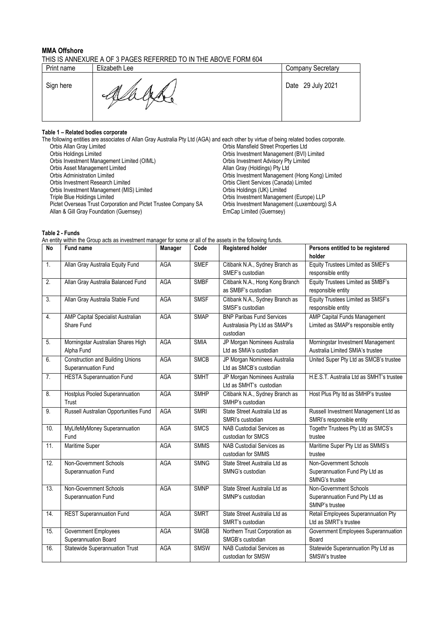## **MMA Offshore**

| Print name | Elizabeth Lee | <b>Company Secretary</b> |
|------------|---------------|--------------------------|
| Sign here  | M             | Date 29 July 2021        |

# **Table 1 – Related bodies corporate**

| The following entities are associates of Allan Gray Australia Pty Ltd (AGA) and each other by virtue of being related bodies corporate. |                                                 |
|-----------------------------------------------------------------------------------------------------------------------------------------|-------------------------------------------------|
| Orbis Allan Gray Limited                                                                                                                | Orbis Mansfield Street Properties Ltd           |
| Orbis Holdings Limited                                                                                                                  | Orbis Investment Management (BVI) Limited       |
| Orbis Investment Management Limited (OIML)                                                                                              | Orbis Investment Advisory Pty Limited           |
| Orbis Asset Management Limited                                                                                                          | Allan Gray (Holdings) Pty Ltd                   |
| <b>Orbis Administration Limited</b>                                                                                                     | Orbis Investment Management (Hong Kong) Limited |
| Orbis Investment Research Limited                                                                                                       | Orbis Client Services (Canada) Limited          |
| Orbis Investment Management (MIS) Limited                                                                                               | Orbis Holdings (UK) Limited                     |
| Triple Blue Holdings Limited                                                                                                            | Orbis Investment Management (Europe) LLP        |
| Pictet Overseas Trust Corporation and Pictet Trustee Company SA                                                                         | Orbis Investment Management (Luxembourg) S.A.   |
| Allan & Gill Gray Foundation (Guernsey)                                                                                                 | EmCap Limited (Guernsey)                        |
|                                                                                                                                         |                                                 |

**Table 2 - Funds**

An entity within the Group acts as investment manager for some or all of the assets in the following funds.

| No                | Fund name                                                      | Manager    | Code        | <b>Registered holder</b>                                                       | Persons entitled to be registered<br>holder                                |
|-------------------|----------------------------------------------------------------|------------|-------------|--------------------------------------------------------------------------------|----------------------------------------------------------------------------|
| 1.                | Allan Gray Australia Equity Fund                               | AGA        | <b>SMEF</b> | Citibank N.A., Sydney Branch as<br>SMEF's custodian                            | Equity Trustees Limited as SMEF's<br>responsible entity                    |
| 2.                | Allan Gray Australia Balanced Fund                             | <b>AGA</b> | <b>SMBF</b> | Citibank N.A., Hong Kong Branch<br>as SMBF's custodian                         | Equity Trustees Limited as SMBF's<br>responsible entity                    |
| $\overline{3}$ .  | Allan Gray Australia Stable Fund                               | <b>AGA</b> | <b>SMSF</b> | Citibank N.A., Sydney Branch as<br>SMSF's custodian                            | Equity Trustees Limited as SMSF's<br>responsible entity                    |
| 4.                | AMP Capital Specialist Australian<br>Share Fund                | AGA        | <b>SMAP</b> | <b>BNP Paribas Fund Services</b><br>Australasia Pty Ltd as SMAP's<br>custodian | AMP Capital Funds Management<br>Limited as SMAP's responsible entity       |
| 5.                | Morningstar Australian Shares High<br>Alpha Fund               | <b>AGA</b> | <b>SMIA</b> | JP Morgan Nominees Australia<br>Ltd as SMIA's custodian                        | Morningstar Investment Management<br>Australia Limited SMIA's trustee      |
| 6.                | <b>Construction and Building Unions</b><br>Superannuation Fund | AGA        | <b>SMCB</b> | JP Morgan Nominees Australia<br>Ltd as SMCB's custodian                        | United Super Pty Ltd as SMCB's trustee                                     |
| 7.                | <b>HESTA Superannuation Fund</b>                               | <b>AGA</b> | <b>SMHT</b> | JP Morgan Nominees Australia<br>Ltd as SMHT's custodian                        | H.E.S.T. Australia Ltd as SMHT's trustee                                   |
| 8.                | Hostplus Pooled Superannuation<br>Trust                        | <b>AGA</b> | <b>SMHP</b> | Citibank N.A., Sydney Branch as<br>SMHP's custodian                            | Host Plus Pty Itd as SMHP's trustee                                        |
| 9.                | Russell Australian Opportunities Fund                          | <b>AGA</b> | <b>SMRI</b> | State Street Australia Ltd as<br>SMRI's custodian                              | Russell Investment Management Ltd as<br>SMRI's responsible entity          |
| 10.               | MyLifeMyMoney Superannuation<br>Fund                           | <b>AGA</b> | <b>SMCS</b> | <b>NAB Custodial Services as</b><br>custodian for SMCS                         | Togethr Trustees Pty Ltd as SMCS's<br>trustee                              |
| 11.               | Maritime Super                                                 | AGA        | <b>SMMS</b> | <b>NAB Custodial Services as</b><br>custodian for SMMS                         | Maritime Super Pty Ltd as SMMS's<br>trustee                                |
| 12.               | Non-Government Schools<br>Superannuation Fund                  | <b>AGA</b> | <b>SMNG</b> | State Street Australia Ltd as<br>SMNG's custodian                              | Non-Government Schools<br>Superannuation Fund Pty Ltd as<br>SMNG's trustee |
| 13.               | Non-Government Schools<br>Superannuation Fund                  | <b>AGA</b> | <b>SMNP</b> | State Street Australia Ltd as<br>SMNP's custodian                              | Non-Government Schools<br>Superannuation Fund Pty Ltd as<br>SMNP's trustee |
| $\overline{14}$ . | <b>REST Superannuation Fund</b>                                | AGA        | <b>SMRT</b> | State Street Australia Ltd as<br>SMRT's custodian                              | Retail Employees Superannuation Pty<br>Ltd as SMRT's trustee               |
| 15.               | Government Employees<br>Superannuation Board                   | AGA        | <b>SMGB</b> | Northern Trust Corporation as<br>SMGB's custodian                              | Government Employees Superannuation<br>Board                               |
| 16.               | <b>Statewide Superannuation Trust</b>                          | <b>AGA</b> | <b>SMSW</b> | <b>NAB Custodial Services as</b><br>custodian for SMSW                         | Statewide Superannuation Pty Ltd as<br>SMSW's trustee                      |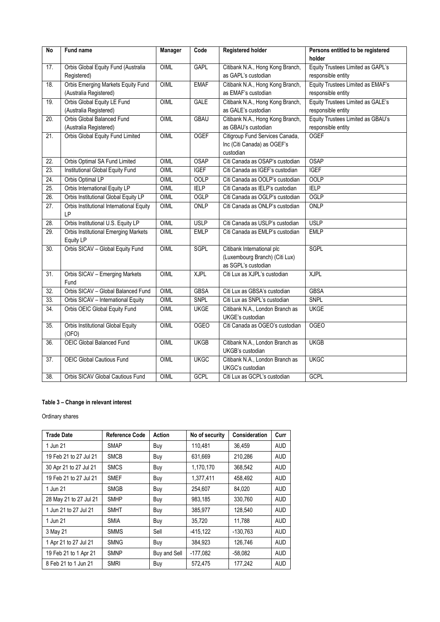| <b>No</b>         | <b>Fund name</b>                                         | Manager     | Code        | <b>Registered holder</b>         | Persons entitled to be registered |
|-------------------|----------------------------------------------------------|-------------|-------------|----------------------------------|-----------------------------------|
|                   |                                                          |             |             |                                  | holder                            |
| 17.               | Orbis Global Equity Fund (Australia                      | OIML        | <b>GAPL</b> | Citibank N.A., Hong Kong Branch, | Equity Trustees Limited as GAPL's |
|                   | Registered)                                              |             |             | as GAPL's custodian              | responsible entity                |
| 18.               | Orbis Emerging Markets Equity Fund                       | OIML        | <b>EMAF</b> | Citibank N.A., Hong Kong Branch, | Equity Trustees Limited as EMAF's |
|                   | (Australia Registered)                                   |             |             | as EMAF's custodian              | responsible entity                |
| 19.               | Orbis Global Equity LE Fund                              | <b>OIML</b> | <b>GALE</b> | Citibank N.A., Hong Kong Branch, | Equity Trustees Limited as GALE's |
|                   | (Australia Registered)                                   |             |             | as GALE's custodian              | responsible entity                |
| $\overline{20}$ . | Orbis Global Balanced Fund                               | OIML        | <b>GBAU</b> | Citibank N.A., Hong Kong Branch, | Equity Trustees Limited as GBAU's |
|                   | (Australia Registered)                                   |             |             | as GBAU's custodian              | responsible entity                |
| 21.               | Orbis Global Equity Fund Limited                         | OIML        | <b>OGEF</b> | Citigroup Fund Services Canada,  | <b>OGEF</b>                       |
|                   |                                                          |             |             | Inc (Citi Canada) as OGEF's      |                                   |
|                   |                                                          |             |             | custodian                        |                                   |
| 22.               | Orbis Optimal SA Fund Limited                            | OIML        | <b>OSAP</b> | Citi Canada as OSAP's custodian  | <b>OSAP</b>                       |
| 23.               | Institutional Global Equity Fund                         | OIML        | <b>IGEF</b> | Citi Canada as IGEF's custodian  | <b>IGEF</b>                       |
| 24.               | Orbis Optimal LP                                         | <b>OIML</b> | <b>OOLP</b> | Citi Canada as OOLP's custodian  | <b>OOLP</b>                       |
| 25.               | Orbis International Equity LP                            | OIML        | <b>IELP</b> | Citi Canada as IELP's custodian  | <b>IELP</b>                       |
| 26.               | Orbis Institutional Global Equity LP                     | OIML        | <b>OGLP</b> | Citi Canada as OGLP's custodian  | <b>OGLP</b>                       |
| 27.               | Orbis Institutional International Equity                 | OIML        | ONLP        | Citi Canada as ONLP's custodian  | ONLP                              |
|                   | <b>LP</b>                                                |             |             |                                  |                                   |
| 28.               | Orbis Institutional U.S. Equity LP                       | OIML        | <b>USLP</b> | Citi Canada as USLP's custodian  | <b>USLP</b>                       |
| 29.               | <b>Orbis Institutional Emerging Markets</b><br>Equity LP | OIML        | <b>EMLP</b> | Citi Canada as EMLP's custodian  | <b>EMLP</b>                       |
| 30.               | Orbis SICAV - Global Equity Fund                         | OIML        | <b>SGPL</b> | Citibank International plc       | <b>SGPL</b>                       |
|                   |                                                          |             |             | (Luxembourg Branch) (Citi Lux)   |                                   |
|                   |                                                          |             |             | as SGPL's custodian              |                                   |
| $\overline{31}$ . | Orbis SICAV - Emerging Markets<br>Fund                   | OIML        | <b>XJPL</b> | Citi Lux as XJPL's custodian     | <b>XJPL</b>                       |
| 32.               | Orbis SICAV - Global Balanced Fund                       | OIML        | <b>GBSA</b> | Citi Lux as GBSA's custodian     | <b>GBSA</b>                       |
| 33.               | Orbis SICAV - International Equity                       | OIML        | <b>SNPL</b> | Citi Lux as SNPL's custodian     | SNPL                              |
| 34.               | Orbis OEIC Global Equity Fund                            | <b>OIML</b> | <b>UKGE</b> | Citibank N.A., London Branch as  | <b>UKGE</b>                       |
|                   |                                                          |             |             | UKGE's custodian                 |                                   |
| 35.               | Orbis Institutional Global Equity                        | OIML        | <b>OGEO</b> | Citi Canada as OGEO's custodian  | <b>OGEO</b>                       |
|                   | (OFO)                                                    |             |             |                                  |                                   |
| 36.               | <b>OEIC Global Balanced Fund</b>                         | OIML        | <b>UKGB</b> | Citibank N.A., London Branch as  | <b>UKGB</b>                       |
|                   |                                                          |             |             | UKGB's custodian                 |                                   |
| $\overline{37}$ . | OEIC Global Cautious Fund                                | OIML        | <b>UKGC</b> | Citibank N.A., London Branch as  | <b>UKGC</b>                       |
|                   |                                                          |             |             | UKGC's custodian                 |                                   |
| $\overline{38}$ . | Orbis SICAV Global Cautious Fund                         | OIML        | <b>GCPL</b> | Citi Lux as GCPL's custodian     | <b>GCPL</b>                       |

## **Table 3 – Change in relevant interest**

Ordinary shares

| <b>Trade Date</b>      | <b>Reference Code</b> | <b>Action</b> | No of security | Consideration | Curr       |
|------------------------|-----------------------|---------------|----------------|---------------|------------|
| 1 Jun 21               | <b>SMAP</b>           | Buy           | 110.481        | 36.459        | <b>AUD</b> |
| 19 Feb 21 to 27 Jul 21 | <b>SMCB</b>           | Buy           | 631,669        | 210.286       | <b>AUD</b> |
| 30 Apr 21 to 27 Jul 21 | <b>SMCS</b>           | Buy           | 1,170,170      | 368,542       | <b>AUD</b> |
| 19 Feb 21 to 27 Jul 21 | <b>SMEF</b>           | Buy           | 1.377.411      | 458.492       | <b>AUD</b> |
| 1 Jun 21               | <b>SMGB</b>           | Buy           | 254.607        | 84,020        | <b>AUD</b> |
| 28 May 21 to 27 Jul 21 | <b>SMHP</b>           | Buy           | 983,185        | 330.760       | <b>AUD</b> |
| 1 Jun 21 to 27 Jul 21  | <b>SMHT</b>           | Buy           | 385.977        | 128.540       | <b>AUD</b> |
| 1 Jun 21               | <b>SMIA</b>           | Buy           | 35.720         | 11.788        | <b>AUD</b> |
| 3 May 21               | <b>SMMS</b>           | Sell          | $-415,122$     | $-130.763$    | <b>AUD</b> |
| 1 Apr 21 to 27 Jul 21  | <b>SMNG</b>           | Buy           | 384,923        | 126,746       | <b>AUD</b> |
| 19 Feb 21 to 1 Apr 21  | <b>SMNP</b>           | Buy and Sell  | $-177,082$     | $-58,082$     | <b>AUD</b> |
| 8 Feb 21 to 1 Jun 21   | <b>SMRI</b>           | Buy           | 572,475        | 177.242       | <b>AUD</b> |